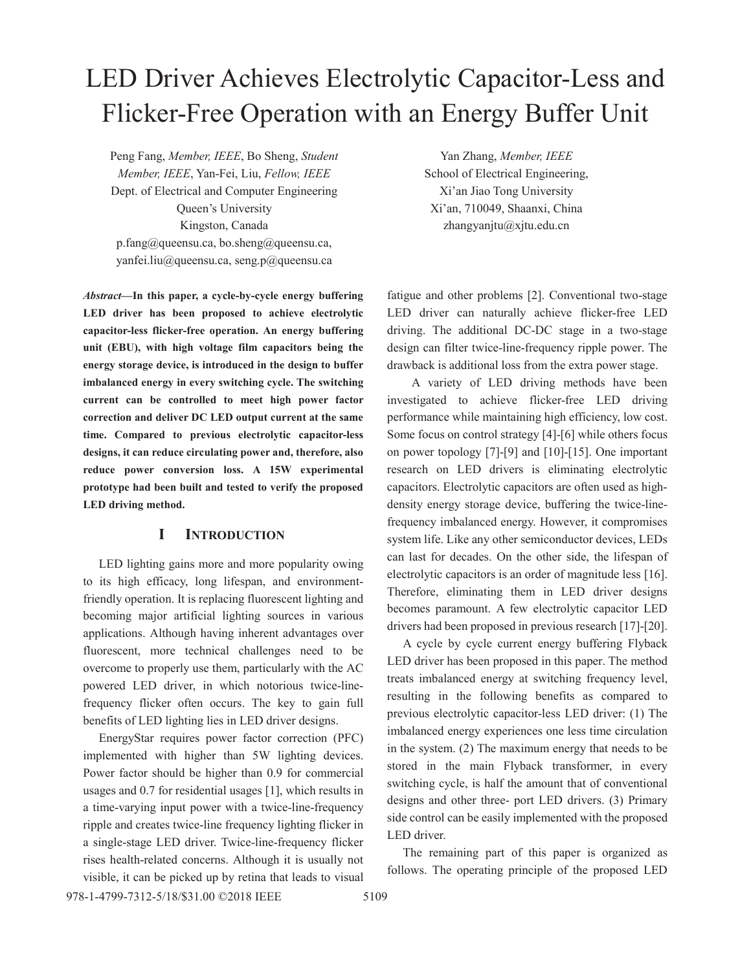# LED Driver Achieves Electrolytic Capacitor-Less and Flicker-Free Operation with an Energy Buffer Unit

Peng Fang, *Member, IEEE*, Bo Sheng, *Student Member, IEEE*, Yan-Fei, Liu, *Fellow, IEEE*  Dept. of Electrical and Computer Engineering Queen's University Kingston, Canada p.fang@queensu.ca, bo.sheng@queensu.ca, yanfei.liu@queensu.ca, seng.p@queensu.ca

*Abstract***—In this paper, a cycle-by-cycle energy buffering LED driver has been proposed to achieve electrolytic capacitor-less flicker-free operation. An energy buffering unit (EBU), with high voltage film capacitors being the energy storage device, is introduced in the design to buffer imbalanced energy in every switching cycle. The switching current can be controlled to meet high power factor correction and deliver DC LED output current at the same time. Compared to previous electrolytic capacitor-less designs, it can reduce circulating power and, therefore, also reduce power conversion loss. A 15W experimental prototype had been built and tested to verify the proposed LED driving method.** 

## **I INTRODUCTION**

LED lighting gains more and more popularity owing to its high efficacy, long lifespan, and environmentfriendly operation. It is replacing fluorescent lighting and becoming major artificial lighting sources in various applications. Although having inherent advantages over fluorescent, more technical challenges need to be overcome to properly use them, particularly with the AC powered LED driver, in which notorious twice-linefrequency flicker often occurs. The key to gain full benefits of LED lighting lies in LED driver designs.

EnergyStar requires power factor correction (PFC) implemented with higher than 5W lighting devices. Power factor should be higher than 0.9 for commercial usages and 0.7 for residential usages [1], which results in a time-varying input power with a twice-line-frequency ripple and creates twice-line frequency lighting flicker in a single-stage LED driver. Twice-line-frequency flicker rises health-related concerns. Although it is usually not visible, it can be picked up by retina that leads to visual

Yan Zhang, *Member, IEEE* School of Electrical Engineering, Xi'an Jiao Tong University Xi'an, 710049, Shaanxi, China zhangyanjtu@xjtu.edu.cn

fatigue and other problems [2]. Conventional two-stage LED driver can naturally achieve flicker-free LED driving. The additional DC-DC stage in a two-stage design can filter twice-line-frequency ripple power. The drawback is additional loss from the extra power stage.

A variety of LED driving methods have been investigated to achieve flicker-free LED driving performance while maintaining high efficiency, low cost. Some focus on control strategy [4]-[6] while others focus on power topology [7]-[9] and [10]-[15]. One important research on LED drivers is eliminating electrolytic capacitors. Electrolytic capacitors are often used as highdensity energy storage device, buffering the twice-linefrequency imbalanced energy. However, it compromises system life. Like any other semiconductor devices, LEDs can last for decades. On the other side, the lifespan of electrolytic capacitors is an order of magnitude less [16]. Therefore, eliminating them in LED driver designs becomes paramount. A few electrolytic capacitor LED drivers had been proposed in previous research [17]-[20].

A cycle by cycle current energy buffering Flyback LED driver has been proposed in this paper. The method treats imbalanced energy at switching frequency level, resulting in the following benefits as compared to previous electrolytic capacitor-less LED driver: (1) The imbalanced energy experiences one less time circulation in the system. (2) The maximum energy that needs to be stored in the main Flyback transformer, in every switching cycle, is half the amount that of conventional designs and other three- port LED drivers. (3) Primary side control can be easily implemented with the proposed LED driver.

The remaining part of this paper is organized as follows. The operating principle of the proposed LED

978-1-4799-7312-5/18/\$31.00 ©2018 IEEE 5109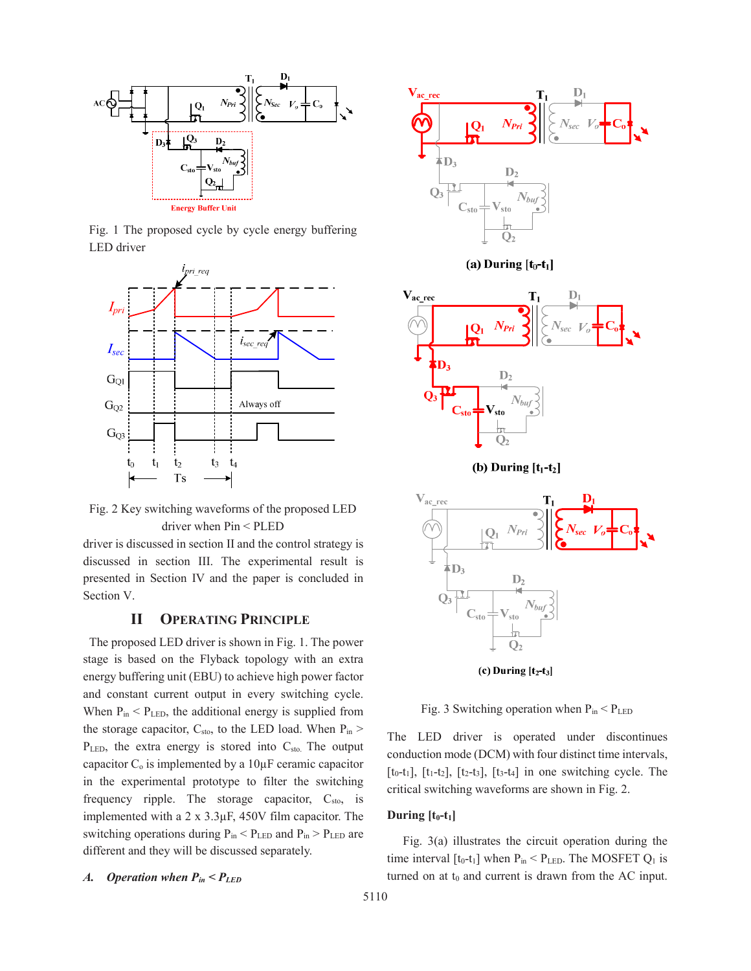

Fig. 1 The proposed cycle by cycle energy buffering LED driver



Fig. 2 Key switching waveforms of the proposed LED driver when Pin < PLED

driver is discussed in section II and the control strategy is discussed in section III. The experimental result is presented in Section IV and the paper is concluded in Section V.

## **II OPERATING PRINCIPLE**

 The proposed LED driver is shown in Fig. 1. The power stage is based on the Flyback topology with an extra energy buffering unit (EBU) to achieve high power factor and constant current output in every switching cycle. When  $P_{in}$  <  $P_{LED}$ , the additional energy is supplied from the storage capacitor,  $C_{sto}$ , to the LED load. When  $P_{in}$  >  $P_{LED}$ , the extra energy is stored into  $C_{sto}$ . The output capacitor  $C_0$  is implemented by a  $10\mu$ F ceramic capacitor in the experimental prototype to filter the switching frequency ripple. The storage capacitor,  $C_{\text{sto}}$ , is implemented with a 2 x 3.3μF, 450V film capacitor. The switching operations during  $P_{in}$  <  $P_{LED}$  and  $P_{in}$  >  $P_{LED}$  are different and they will be discussed separately.

## *A. Operation when Pin < PLED*



(a) During  $[t_0-t_1]$ 



(b) During  $[t_1-t_2]$ 



(c) During  $[t_2-t_3]$ 

Fig. 3 Switching operation when  $P_{in} < P_{LED}$ 

The LED driver is operated under discontinues conduction mode (DCM) with four distinct time intervals,  $[t<sub>0</sub>-t<sub>1</sub>], [t<sub>1</sub>-t<sub>2</sub>], [t<sub>2</sub>-t<sub>3</sub>], [t<sub>3</sub>-t<sub>4</sub>] in one switching cycle. The$ critical switching waveforms are shown in Fig. 2.

#### **During**  $[t_0-t_1]$

Fig. 3(a) illustrates the circuit operation during the time interval  $[t_0-t_1]$  when  $P_{in} < P_{LED}$ . The MOSFET  $Q_1$  is turned on at  $t_0$  and current is drawn from the AC input.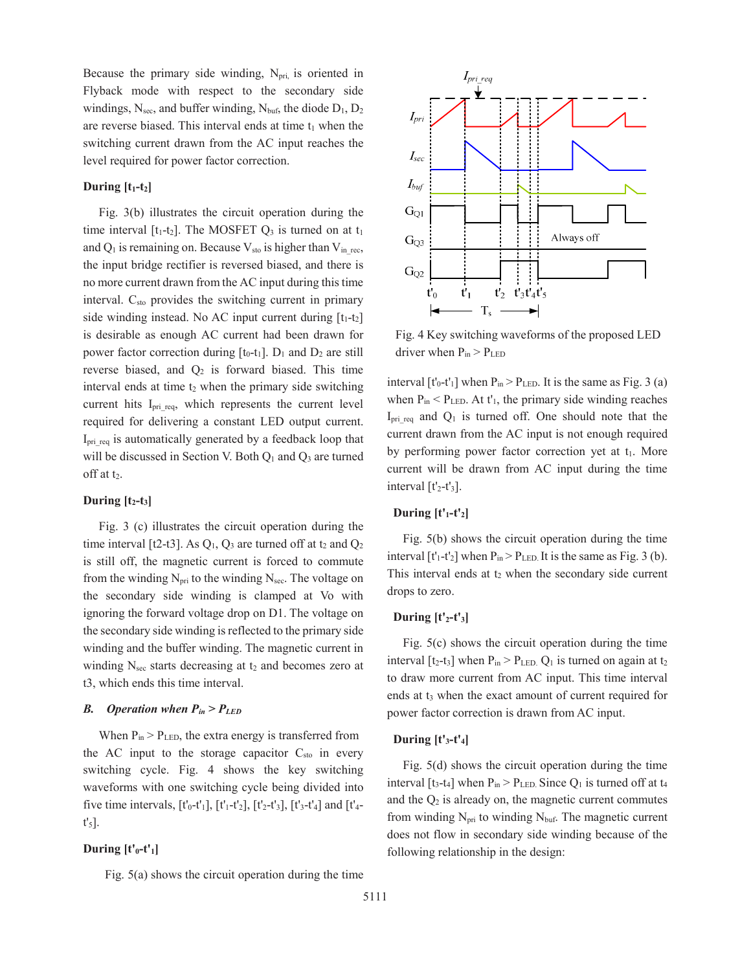Because the primary side winding,  $N_{pri}$  is oriented in Flyback mode with respect to the secondary side windings,  $N<sub>sec</sub>$ , and buffer winding,  $N<sub>buf</sub>$ , the diode  $D_1, D_2$ are reverse biased. This interval ends at time  $t_1$  when the switching current drawn from the AC input reaches the level required for power factor correction.

## **During**  $[t_1-t_2]$

Fig. 3(b) illustrates the circuit operation during the time interval  $[t_1-t_2]$ . The MOSFET  $Q_3$  is turned on at  $t_1$ and  $Q_1$  is remaining on. Because  $V_{sto}$  is higher than  $V_{in}$  rec, the input bridge rectifier is reversed biased, and there is no more current drawn from the AC input during this time interval. C<sub>sto</sub> provides the switching current in primary side winding instead. No AC input current during  $[t_1-t_2]$ is desirable as enough AC current had been drawn for power factor correction during  $[t_0-t_1]$ .  $D_1$  and  $D_2$  are still reverse biased, and  $Q_2$  is forward biased. This time interval ends at time  $t_2$  when the primary side switching current hits I<sub>prireq</sub>, which represents the current level required for delivering a constant LED output current. I<sub>prireq</sub> is automatically generated by a feedback loop that will be discussed in Section V. Both  $Q_1$  and  $Q_3$  are turned off at t<sub>2</sub>.

#### **During**  $[t_2-t_3]$

Fig. 3 (c) illustrates the circuit operation during the time interval [t2-t3]. As  $Q_1$ ,  $Q_3$  are turned off at t<sub>2</sub> and  $Q_2$ is still off, the magnetic current is forced to commute from the winding  $N_{\text{pri}}$  to the winding  $N_{\text{sec}}$ . The voltage on the secondary side winding is clamped at Vo with ignoring the forward voltage drop on D1. The voltage on the secondary side winding is reflected to the primary side winding and the buffer winding. The magnetic current in winding  $N<sub>sec</sub>$  starts decreasing at  $t<sub>2</sub>$  and becomes zero at t3, which ends this time interval.

## *B. Operation when Pin > PLED*

When  $P_{in}$  >  $P_{LED}$ , the extra energy is transferred from the AC input to the storage capacitor  $C_{sto}$  in every switching cycle. Fig. 4 shows the key switching waveforms with one switching cycle being divided into five time intervals,  $[t'_0-t'_1]$ ,  $[t'_1-t'_2]$ ,  $[t'_2-t'_3]$ ,  $[t'_3-t'_4]$  and  $[t'_4-t'_4]$ t'5].

## During  $[t'_0-t'_1]$

Fig. 5(a) shows the circuit operation during the time



Fig. 4 Key switching waveforms of the proposed LED driver when  $P_{in} > P_{LED}$ 

interval  $[t'_0-t'_1]$  when  $P_{in} > P_{LED}$ . It is the same as Fig. 3 (a) when  $P_{in}$  <  $P_{LED}$ . At t'<sub>1</sub>, the primary side winding reaches I<sub>prireq</sub> and  $Q_1$  is turned off. One should note that the current drawn from the AC input is not enough required by performing power factor correction yet at  $t_1$ . More current will be drawn from AC input during the time interval  $[t'_2-t'_3]$ .

#### During  $[t']$ - $t']$

Fig. 5(b) shows the circuit operation during the time interval  $[t'_1-t'_2]$  when  $P_{in} > P_{LED}$  It is the same as Fig. 3 (b). This interval ends at  $t_2$  when the secondary side current drops to zero.

#### During  $[t'_2-t'_3]$

Fig. 5(c) shows the circuit operation during the time interval  $[t_2-t_3]$  when  $P_{in} > P_{LED}$ .  $Q_1$  is turned on again at  $t_2$ to draw more current from AC input. This time interval ends at t<sub>3</sub> when the exact amount of current required for power factor correction is drawn from AC input.

#### **During [t'3-t'4]**

Fig. 5(d) shows the circuit operation during the time interval [t<sub>3</sub>-t<sub>4</sub>] when  $P_{in} > P_{LED}$ . Since  $Q_1$  is turned off at t<sub>4</sub> and the  $Q_2$  is already on, the magnetic current commutes from winding  $N_{\text{pri}}$  to winding  $N_{\text{buf}}$ . The magnetic current does not flow in secondary side winding because of the following relationship in the design: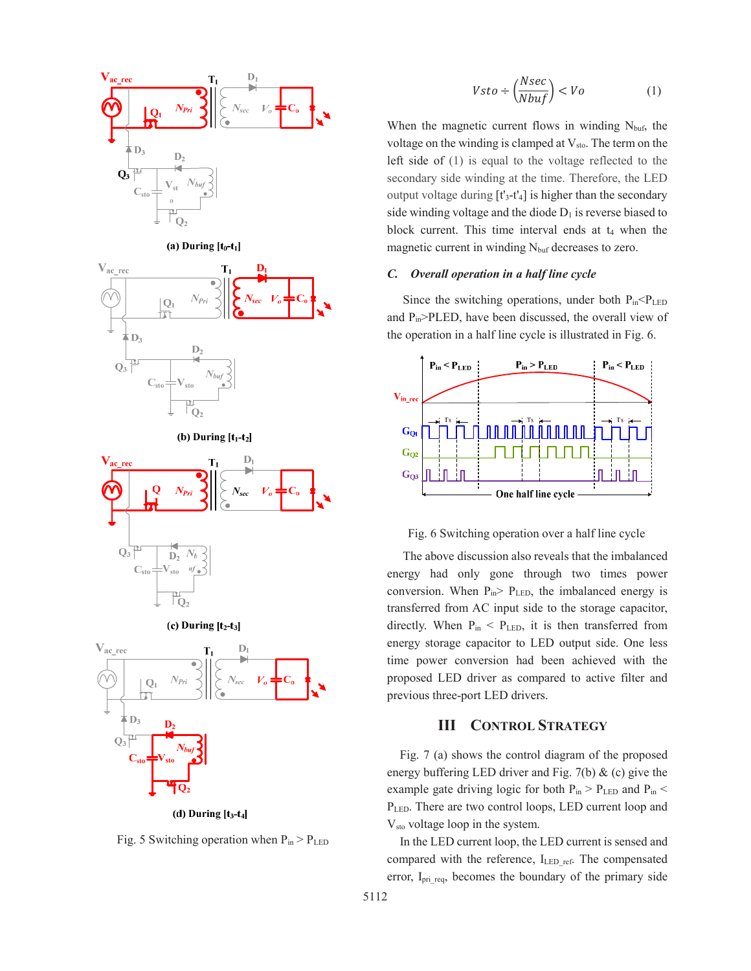

(d) During  $[t<sub>3</sub>-t<sub>4</sub>]$ 

Fig. 5 Switching operation when  $P_{in} > P_{LED}$ 

When the magnetic current flows in winding  $N_{\text{buf}}$ , the voltage on the winding is clamped at  $V_{sto}$ . The term on the left side of (1) is equal to the voltage reflected to the secondary side winding at the time. Therefore, the LED output voltage during  $[t'_3-t'_4]$  is higher than the secondary side winding voltage and the diode  $D_1$  is reverse biased to block current. This time interval ends at  $t_4$  when the magnetic current in winding  $N_{\text{buf}}$  decreases to zero.

### *C. Overall operation in a half line cycle*

Since the switching operations, under both  $P_{in} < P_{LED}$ and Pin>PLED, have been discussed, the overall view of the operation in a half line cycle is illustrated in Fig. 6.



Fig. 6 Switching operation over a half line cycle

The above discussion also reveals that the imbalanced energy had only gone through two times power conversion. When  $P_{in}$   $\ge$   $P_{LED}$ , the imbalanced energy is transferred from AC input side to the storage capacitor, directly. When  $P_{in}$  <  $P_{LED}$ , it is then transferred from energy storage capacitor to LED output side. One less time power conversion had been achieved with the proposed LED driver as compared to active filter and previous three-port LED drivers.

# **III CONTROL STRATEGY**

Fig. 7 (a) shows the control diagram of the proposed energy buffering LED driver and Fig. 7(b)  $\&$  (c) give the example gate driving logic for both  $P_{in}$  >  $P_{LED}$  and  $P_{in}$  < PLED. There are two control loops, LED current loop and Vsto voltage loop in the system.

In the LED current loop, the LED current is sensed and compared with the reference, ILED ref. The compensated error, Ipri\_req, becomes the boundary of the primary side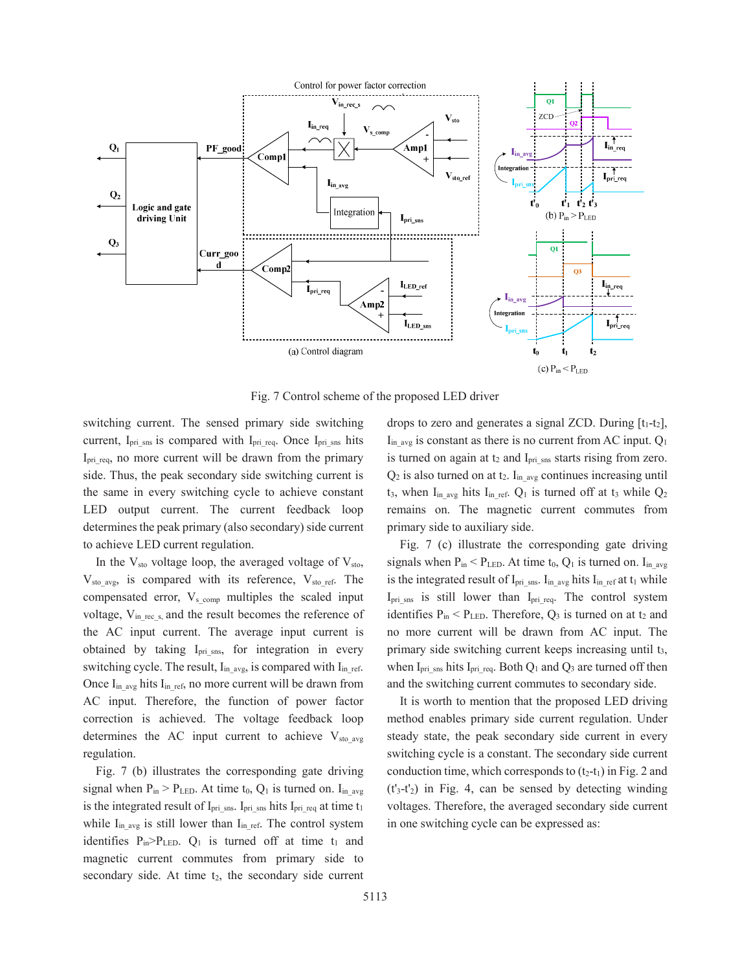

Fig. 7 Control scheme of the proposed LED driver

switching current. The sensed primary side switching current, Ipri\_sns is compared with Ipri\_req. Once Ipri\_sns hits I<sub>pri\_req</sub>, no more current will be drawn from the primary side. Thus, the peak secondary side switching current is the same in every switching cycle to achieve constant LED output current. The current feedback loop determines the peak primary (also secondary) side current to achieve LED current regulation.

In the  $V_{sto}$  voltage loop, the averaged voltage of  $V_{sto}$ ,  $V_{sto\ avg}$ , is compared with its reference,  $V_{sto\ ref}$ . The compensated error,  $V_{\rm s \; comp}$  multiples the scaled input voltage,  $V_{in,rec,s}$  and the result becomes the reference of the AC input current. The average input current is obtained by taking  $I_{\text{pri} \, \text{sns}}$ , for integration in every switching cycle. The result, I<sub>in\_avg</sub>, is compared with I<sub>in\_ref.</sub> Once  $I_{in\text{avg}}$  hits  $I_{in\text{ref}}$ , no more current will be drawn from AC input. Therefore, the function of power factor correction is achieved. The voltage feedback loop determines the AC input current to achieve  $V_{sto}$ <sub>sto avg</sub> regulation.

Fig. 7 (b) illustrates the corresponding gate driving signal when  $P_{in}$  >  $P_{LED}$ . At time t<sub>0</sub>,  $Q_1$  is turned on. I<sub>in avg</sub> is the integrated result of I<sub>pri\_sns</sub>. I<sub>pri\_sns</sub> hits I<sub>pri\_req</sub> at time t<sub>1</sub> while  $I_{in\text{avg}}$  is still lower than  $I_{in\text{ref.}}$  The control system identifies  $P_{in} > P_{LED}$ .  $Q_1$  is turned off at time  $t_1$  and magnetic current commutes from primary side to secondary side. At time  $t_2$ , the secondary side current drops to zero and generates a signal ZCD. During  $[t_1-t_2]$ ,  $I_{inavg}$  is constant as there is no current from AC input.  $Q_1$ is turned on again at  $t_2$  and  $I_{pri\_sns}$  starts rising from zero.  $Q_2$  is also turned on at t<sub>2</sub>. I<sub>in avg</sub> continues increasing until  $t_3$ , when I<sub>in avg</sub> hits I<sub>in ref</sub>. Q<sub>1</sub> is turned off at  $t_3$  while Q<sub>2</sub> remains on. The magnetic current commutes from primary side to auxiliary side.

Fig. 7 (c) illustrate the corresponding gate driving signals when  $P_{in}$  <  $P_{LED}$ . At time  $t_0$ ,  $Q_1$  is turned on. I<sub>in avg</sub> is the integrated result of  $I_{pri\_sns}$ .  $I_{in\_avg}$  hits  $I_{in\_ref}$  at  $t_1$  while  $I_{pri\,sns}$  is still lower than  $I_{pri\,req.}$  The control system identifies  $P_{in}$  <  $P_{LED}$ . Therefore,  $Q_3$  is turned on at t<sub>2</sub> and no more current will be drawn from AC input. The primary side switching current keeps increasing until t<sub>3</sub>, when  $I_{pri\_sns}$  hits  $I_{pri\_req}$ . Both  $Q_1$  and  $Q_3$  are turned off then and the switching current commutes to secondary side.

It is worth to mention that the proposed LED driving method enables primary side current regulation. Under steady state, the peak secondary side current in every switching cycle is a constant. The secondary side current conduction time, which corresponds to  $(t_2-t_1)$  in Fig. 2 and  $(t<sub>3</sub>-t<sub>2</sub>)$  in Fig. 4, can be sensed by detecting winding voltages. Therefore, the averaged secondary side current in one switching cycle can be expressed as: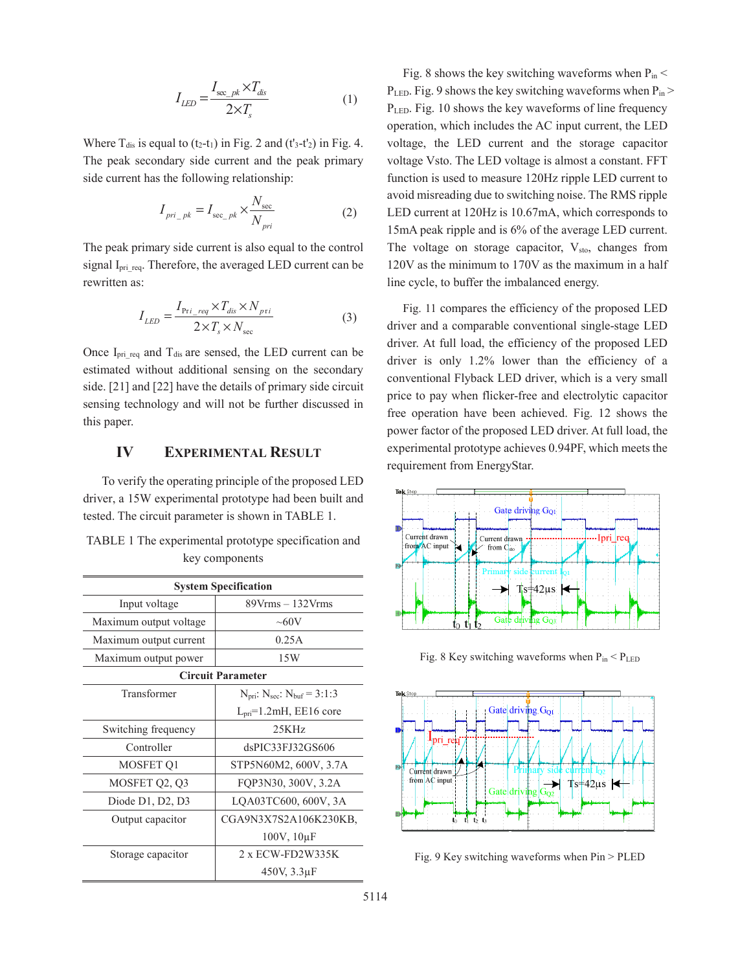$$
I_{LED} = \frac{I_{\text{sec}_{\_pk}} \times T_{dis}}{2 \times T_s}
$$
 (1)

Where  $T_{dis}$  is equal to (t<sub>2</sub>-t<sub>1</sub>) in Fig. 2 and (t'<sub>3</sub>-t'<sub>2</sub>) in Fig. 4. The peak secondary side current and the peak primary side current has the following relationship:

$$
I_{pri\_pk} = I_{\sec\_pk} \times \frac{N_{\sec}}{N_{pri}} \tag{2}
$$

The peak primary side current is also equal to the control signal I<sub>pri\_req</sub>. Therefore, the averaged LED current can be rewritten as:

$$
I_{LED} = \frac{I_{\text{Pri\_req}} \times T_{dis} \times N_{\text{pri}}}{2 \times T_s \times N_{\text{sec}}}
$$
(3)

Once  $I_{pri}\text{req}$  and  $T_{dis}$  are sensed, the LED current can be estimated without additional sensing on the secondary side. [21] and [22] have the details of primary side circuit sensing technology and will not be further discussed in this paper.

# **IV EXPERIMENTAL RESULT**

 To verify the operating principle of the proposed LED driver, a 15W experimental prototype had been built and tested. The circuit parameter is shown in TABLE 1.

| <b>System Specification</b> |                                                                |  |  |  |
|-----------------------------|----------------------------------------------------------------|--|--|--|
| Input voltage               | $89V$ rms $-132V$ rms                                          |  |  |  |
| Maximum output voltage      | $\sim 60V$                                                     |  |  |  |
| Maximum output current      | 0.25A                                                          |  |  |  |
| Maximum output power        | 15W                                                            |  |  |  |
| <b>Circuit Parameter</b>    |                                                                |  |  |  |
| Transformer                 | $N_{\text{pri}}$ : $N_{\text{sec}}$ : $N_{\text{buf}}$ = 3:1:3 |  |  |  |
|                             | $Lpri=1.2mH, EE16 core$                                        |  |  |  |
| Switching frequency         | 25KHz                                                          |  |  |  |
| Controller                  | dsPIC33FJ32GS606                                               |  |  |  |
| MOSFET Q1                   | STP5N60M2, 600V, 3.7A                                          |  |  |  |
| MOSFET Q2, Q3               | FOP3N30, 300V, 3.2A                                            |  |  |  |
| Diode $D1$ , $D2$ , $D3$    | LQA03TC600, 600V, 3A                                           |  |  |  |
| Output capacitor            | CGA9N3X7S2A106K230KB,                                          |  |  |  |
|                             | $100V$ , $10\mu F$                                             |  |  |  |
| Storage capacitor           | $2 \times$ ECW-FD2W335K                                        |  |  |  |
|                             | 450V, 3.3uF                                                    |  |  |  |

|                | TABLE 1 The experimental prototype specification and |  |  |  |
|----------------|------------------------------------------------------|--|--|--|
| key components |                                                      |  |  |  |

Fig. 8 shows the key switching waveforms when  $P_{in}$  <  $P_{LED}$ . Fig. 9 shows the key switching waveforms when  $P_{in}$ P<sub>LED</sub>. Fig. 10 shows the key waveforms of line frequency operation, which includes the AC input current, the LED voltage, the LED current and the storage capacitor voltage Vsto. The LED voltage is almost a constant. FFT function is used to measure 120Hz ripple LED current to avoid misreading due to switching noise. The RMS ripple LED current at 120Hz is 10.67mA, which corresponds to 15mA peak ripple and is 6% of the average LED current. The voltage on storage capacitor,  $V_{sto}$ , changes from 120V as the minimum to 170V as the maximum in a half line cycle, to buffer the imbalanced energy.

Fig. 11 compares the efficiency of the proposed LED driver and a comparable conventional single-stage LED driver. At full load, the efficiency of the proposed LED driver is only 1.2% lower than the efficiency of a conventional Flyback LED driver, which is a very small price to pay when flicker-free and electrolytic capacitor free operation have been achieved. Fig. 12 shows the power factor of the proposed LED driver. At full load, the experimental prototype achieves 0.94PF, which meets the requirement from EnergyStar.



Fig. 8 Key switching waveforms when  $P_{in}$  <  $P_{LED}$ 



Fig. 9 Key switching waveforms when Pin > PLED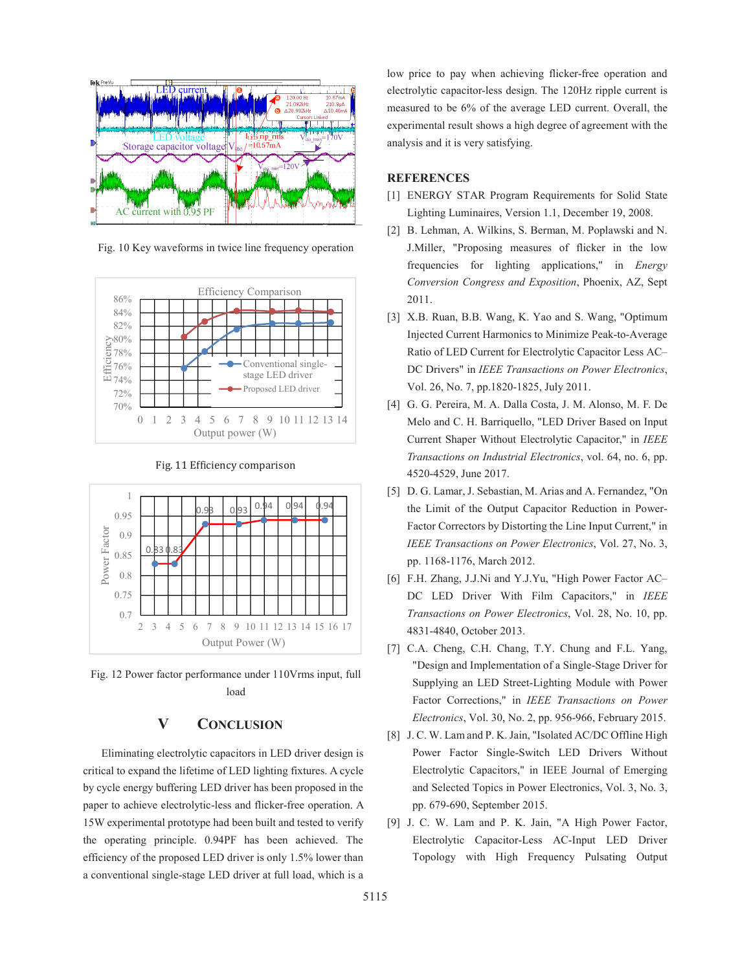

Fig. 10 Key waveforms in twice line frequency operation



Fig. 11 Efficiency comparison



Fig. 12 Power factor performance under 110Vrms input, full load

# **V CONCLUSION**

 Eliminating electrolytic capacitors in LED driver design is critical to expand the lifetime of LED lighting fixtures. A cycle by cycle energy buffering LED driver has been proposed in the paper to achieve electrolytic-less and flicker-free operation. A 15W experimental prototype had been built and tested to verify the operating principle. 0.94PF has been achieved. The efficiency of the proposed LED driver is only 1.5% lower than a conventional single-stage LED driver at full load, which is a

low price to pay when achieving flicker-free operation and electrolytic capacitor-less design. The 120Hz ripple current is measured to be 6% of the average LED current. Overall, the experimental result shows a high degree of agreement with the analysis and it is very satisfying.

#### **REFERENCES**

- [1] ENERGY STAR Program Requirements for Solid State Lighting Luminaires, Version 1.1, December 19, 2008.
- [2] B. Lehman, A. Wilkins, S. Berman, M. Poplawski and N. J.Miller, "Proposing measures of flicker in the low frequencies for lighting applications," in *Energy Conversion Congress and Exposition*, Phoenix, AZ, Sept 2011.
- [3] X.B. Ruan, B.B. Wang, K. Yao and S. Wang, "Optimum Injected Current Harmonics to Minimize Peak-to-Average Ratio of LED Current for Electrolytic Capacitor Less AC– DC Drivers" in *IEEE Transactions on Power Electronics*, Vol. 26, No. 7, pp.1820-1825, July 2011.
- [4] G. G. Pereira, M. A. Dalla Costa, J. M. Alonso, M. F. De Melo and C. H. Barriquello, "LED Driver Based on Input Current Shaper Without Electrolytic Capacitor," in *IEEE Transactions on Industrial Electronics*, vol. 64, no. 6, pp. 4520-4529, June 2017.
- [5] D. G. Lamar, J. Sebastian, M. Arias and A. Fernandez, "On the Limit of the Output Capacitor Reduction in Power-Factor Correctors by Distorting the Line Input Current," in *IEEE Transactions on Power Electronics*, Vol. 27, No. 3, pp. 1168-1176, March 2012.
- [6] F.H. Zhang, J.J.Ni and Y.J.Yu, "High Power Factor AC– DC LED Driver With Film Capacitors," in *IEEE Transactions on Power Electronics*, Vol. 28, No. 10, pp. 4831-4840, October 2013.
- [7] C.A. Cheng, C.H. Chang, T.Y. Chung and F.L. Yang, "Design and Implementation of a Single-Stage Driver for Supplying an LED Street-Lighting Module with Power Factor Corrections," in *IEEE Transactions on Power Electronics*, Vol. 30, No. 2, pp. 956-966, February 2015.
- [8] J. C. W. Lam and P. K. Jain, "Isolated AC/DC Offline High Power Factor Single-Switch LED Drivers Without Electrolytic Capacitors," in IEEE Journal of Emerging and Selected Topics in Power Electronics, Vol. 3, No. 3, pp. 679-690, September 2015.
- [9] J. C. W. Lam and P. K. Jain, "A High Power Factor, Electrolytic Capacitor-Less AC-Input LED Driver Topology with High Frequency Pulsating Output